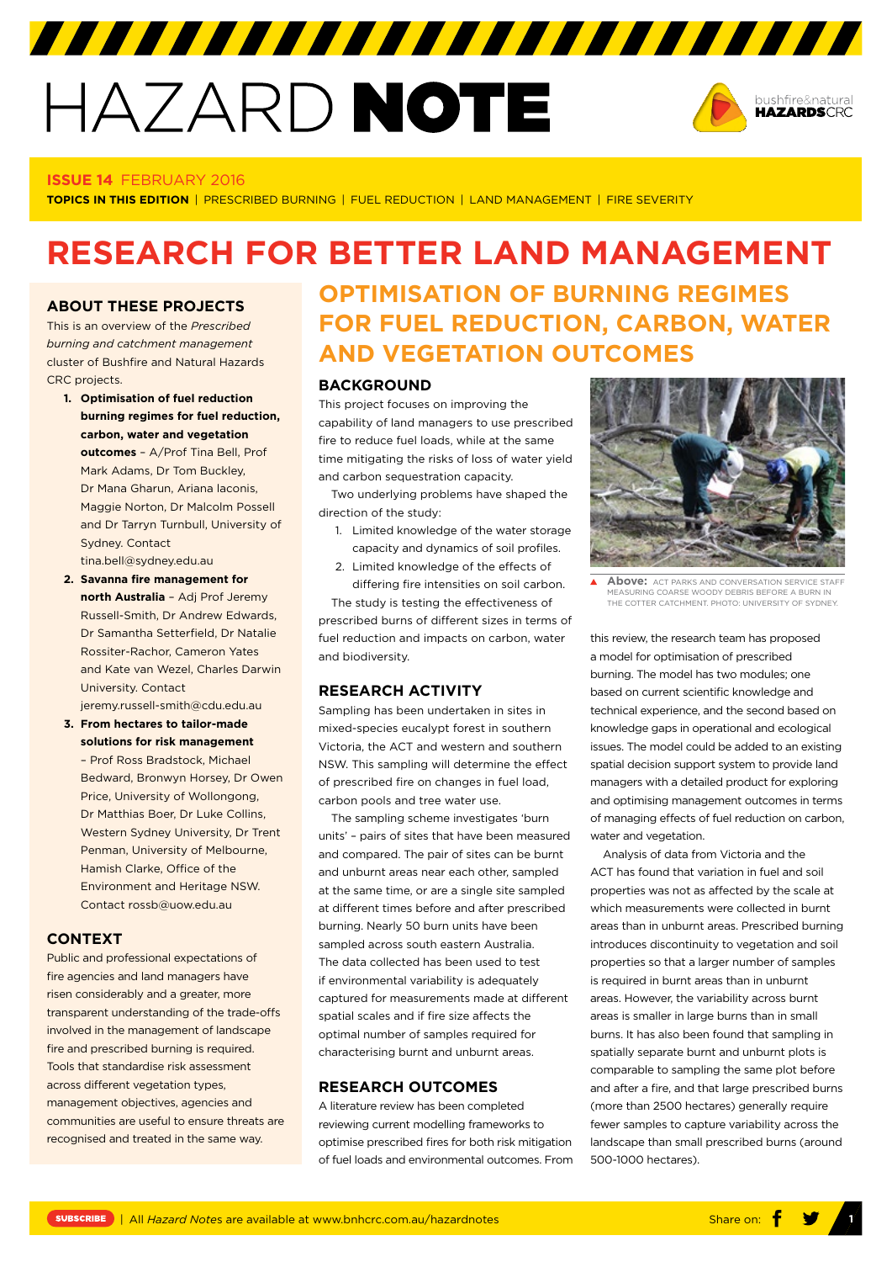# HAZARD NOTE



#### **ISSUE 14** FEBRUARY 2016

**TOPICS IN THIS EDITION** | PRESCRIBED BURNING | FUEL REDUCTION | LAND MANAGEMENT | FIRE SEVERITY

## **RESEARCH FOR BETTER LAND MANAGEMENT**

#### **ABOUT THESE PROJECTS**

This is an overview of the *Prescribed burning and catchment management* cluster of Bushfire and Natural Hazards CRC projects.

- **1. Optimisation of fuel reduction burning regimes for fuel reduction, carbon, water and vegetation outcomes** – A/Prof Tina Bell, Prof Mark Adams, Dr Tom Buckley, Dr Mana Gharun, Ariana laconis, Maggie Norton, Dr Malcolm Possell and Dr Tarryn Turnbull, University of Sydney. Contact tina.bell@sydney.edu.au
- **2. Savanna fire management for north Australia** – Adj Prof Jeremy Russell-Smith, Dr Andrew Edwards, Dr Samantha Setterfield, Dr Natalie Rossiter-Rachor, Cameron Yates and Kate van Wezel, Charles Darwin University. Contact

jeremy.russell-smith@cdu.edu.au

**3. From hectares to tailor-made solutions for risk management**  – Prof Ross Bradstock, Michael Bedward, Bronwyn Horsey, Dr Owen Price, University of Wollongong, Dr Matthias Boer, Dr Luke Collins, Western Sydney University, Dr Trent Penman, University of Melbourne, Hamish Clarke, Office of the Environment and Heritage NSW. Contact rossb@uow.edu.au

#### **CONTEXT**

Public and professional expectations of fire agencies and land managers have risen considerably and a greater, more transparent understanding of the trade-offs involved in the management of landscape fire and prescribed burning is required. Tools that standardise risk assessment across different vegetation types, management objectives, agencies and communities are useful to ensure threats are recognised and treated in the same way.

## **OPTIMISATION OF BURNING REGIMES FOR FUEL REDUCTION, CARBON, WATER AND VEGETATION OUTCOMES**

#### **BACKGROUND**

This project focuses on improving the capability of land managers to use prescribed fire to reduce fuel loads, while at the same time mitigating the risks of loss of water yield and carbon sequestration capacity.

Two underlying problems have shaped the direction of the study:

- 1. Limited knowledge of the water storage capacity and dynamics of soil profiles.
- 2. Limited knowledge of the effects of differing fire intensities on soil carbon.

The study is testing the effectiveness of prescribed burns of different sizes in terms of fuel reduction and impacts on carbon, water and biodiversity.

#### **RESEARCH ACTIVITY**

Sampling has been undertaken in sites in mixed-species eucalypt forest in southern Victoria, the ACT and western and southern NSW. This sampling will determine the effect of prescribed fire on changes in fuel load, carbon pools and tree water use.

The sampling scheme investigates 'burn units' – pairs of sites that have been measured and compared. The pair of sites can be burnt and unburnt areas near each other, sampled at the same time, or are a single site sampled at different times before and after prescribed burning. Nearly 50 burn units have been sampled across south eastern Australia. The data collected has been used to test if environmental variability is adequately captured for measurements made at different spatial scales and if fire size affects the optimal number of samples required for characterising burnt and unburnt areas.

#### **RESEARCH OUTCOMES**

A literature review has been completed reviewing current modelling frameworks to optimise prescribed fires for both risk mitigation of fuel loads and environmental outcomes. From



**Above:** ACT PARKS AND CONVERSATION SERVICE STAF  $\blacktriangle$ MEASURING COARSE WOODY DEBRIS BEFORE A BURN IN THE COTTER CATCHMENT. PHOTO: UNIVERSITY OF SYDNEY.

this review, the research team has proposed a model for optimisation of prescribed burning. The model has two modules; one based on current scientific knowledge and technical experience, and the second based on knowledge gaps in operational and ecological issues. The model could be added to an existing spatial decision support system to provide land managers with a detailed product for exploring and optimising management outcomes in terms of managing effects of fuel reduction on carbon, water and vegetation.

Analysis of data from Victoria and the ACT has found that variation in fuel and soil properties was not as affected by the scale at which measurements were collected in burnt areas than in unburnt areas. Prescribed burning introduces discontinuity to vegetation and soil properties so that a larger number of samples is required in burnt areas than in unburnt areas. However, the variability across burnt areas is smaller in large burns than in small burns. It has also been found that sampling in spatially separate burnt and unburnt plots is comparable to sampling the same plot before and after a fire, and that large prescribed burns (more than 2500 hectares) generally require fewer samples to capture variability across the landscape than small prescribed burns (around 500-1000 hectares).